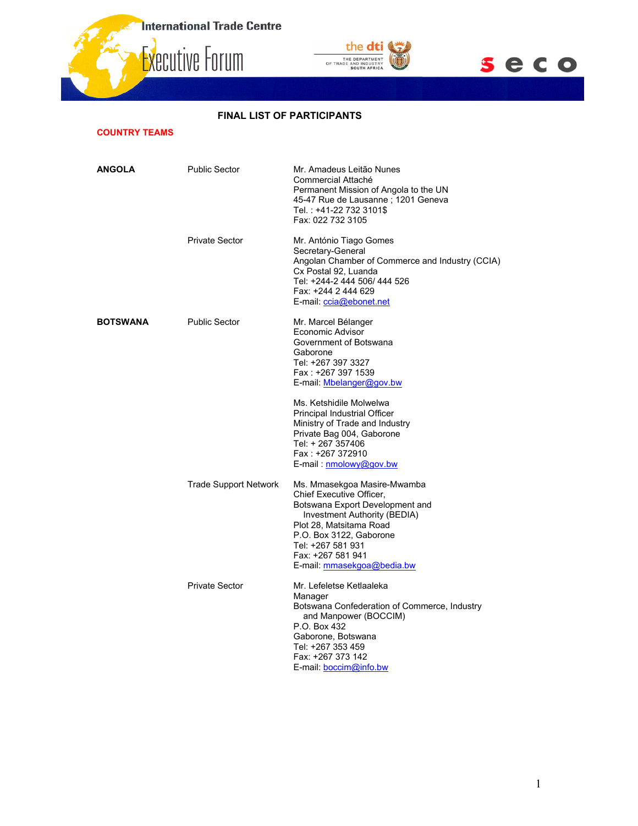



## **FINAL LIST OF PARTICIPANTS**

# **COUNTRY TEAMS**

| ANGOLA   | <b>Public Sector</b>         | Mr. Amadeus Leitão Nunes<br>Commercial Attaché<br>Permanent Mission of Angola to the UN<br>45-47 Rue de Lausanne; 1201 Geneva<br>Tel.: +41-22 732 3101\$<br>Fax: 022 732 3105                                                                            |
|----------|------------------------------|----------------------------------------------------------------------------------------------------------------------------------------------------------------------------------------------------------------------------------------------------------|
|          | <b>Private Sector</b>        | Mr. António Tiago Gomes<br>Secretary-General<br>Angolan Chamber of Commerce and Industry (CCIA)<br>Cx Postal 92, Luanda<br>Tel: +244-2 444 506/ 444 526<br>Fax: +244 2 444 629<br>E-mail: ccia@ebonet.net                                                |
| BOTSWANA | <b>Public Sector</b>         | Mr. Marcel Bélanger<br>Economic Advisor<br>Government of Botswana<br>Gaborone<br>Tel: +267 397 3327<br>Fax: +267 397 1539<br>E-mail: Mbelanger@gov.bw<br>Ms. Ketshidile Molwelwa                                                                         |
|          |                              | Principal Industrial Officer<br>Ministry of Trade and Industry<br>Private Bag 004, Gaborone<br>Tel: + 267 357406<br>Fax: +267 372910<br>E-mail: nmolowy@gov.bw                                                                                           |
|          | <b>Trade Support Network</b> | Ms. Mmasekgoa Masire-Mwamba<br>Chief Executive Officer,<br>Botswana Export Development and<br>Investment Authority (BEDIA)<br>Plot 28, Matsitama Road<br>P.O. Box 3122, Gaborone<br>Tel: +267 581 931<br>Fax: +267 581 941<br>E-mail: mmasekgoa@bedia.bw |
|          | <b>Private Sector</b>        | Mr. Lefeletse Ketlaaleka<br>Manager<br>Botswana Confederation of Commerce, Industry<br>and Manpower (BOCCIM)<br>P.O. Box 432<br>Gaborone, Botswana<br>Tel: +267 353 459<br>Fax: +267 373 142<br>E-mail: boccim@info.bw                                   |

 $s$ eco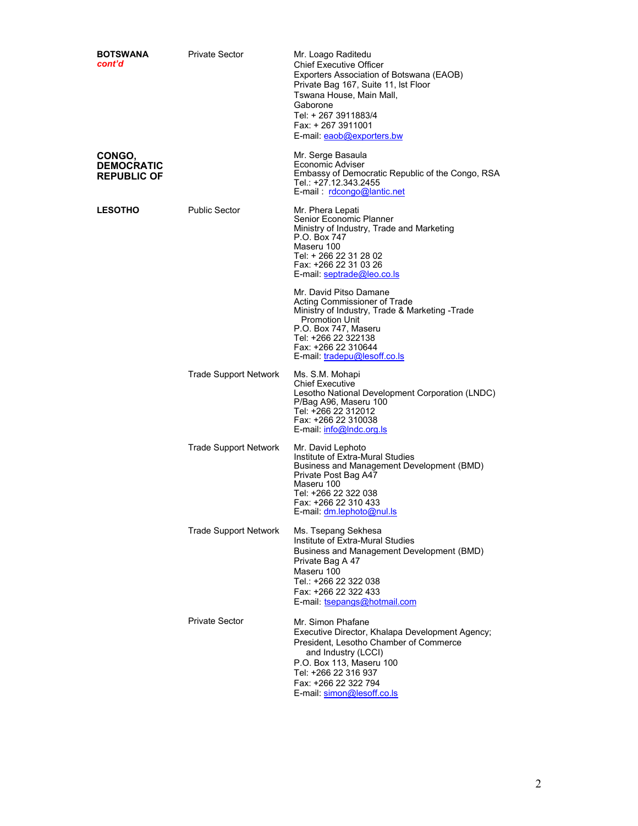| <b>BOTSWANA</b><br>cont'd                         | <b>Private Sector</b>        | Mr. Loago Raditedu<br><b>Chief Executive Officer</b><br>Exporters Association of Botswana (EAOB)<br>Private Bag 167, Suite 11, lst Floor<br>Tswana House, Main Mall,<br>Gaborone<br>Tel: + 267 3911883/4<br>Fax: +267 3911001<br>E-mail: eaob@exporters.bw |
|---------------------------------------------------|------------------------------|------------------------------------------------------------------------------------------------------------------------------------------------------------------------------------------------------------------------------------------------------------|
| CONGO,<br><b>DEMOCRATIC</b><br><b>REPUBLIC OF</b> |                              | Mr. Serge Basaula<br>Economic Adviser<br>Embassy of Democratic Republic of the Congo, RSA<br>Tel.: +27.12.343.2455<br>E-mail: rdcongo@lantic.net                                                                                                           |
| <b>LESOTHO</b>                                    | <b>Public Sector</b>         | Mr. Phera Lepati<br>Senior Economic Planner<br>Ministry of Industry, Trade and Marketing<br>P.O. Box 747<br>Maseru 100<br>Tel: + 266 22 31 28 02<br>Fax: +266 22 31 03 26<br>E-mail: septrade@leo.co.ls                                                    |
|                                                   |                              | Mr. David Pitso Damane<br>Acting Commissioner of Trade<br>Ministry of Industry, Trade & Marketing -Trade<br>Promotion Unit<br>P.O. Box 747, Maseru<br>Tel: +266 22 322138<br>Fax: +266 22 310644<br>E-mail: tradepu@lesoff.co.ls                           |
|                                                   | <b>Trade Support Network</b> | Ms. S.M. Mohapi<br><b>Chief Executive</b><br>Lesotho National Development Corporation (LNDC)<br>P/Bag A96, Maseru 100<br>Tel: +266 22 312012<br>Fax: +266 22 310038<br>E-mail: info@Indc.org.ls                                                            |
|                                                   | <b>Trade Support Network</b> | Mr. David Lephoto<br>Institute of Extra-Mural Studies<br>Business and Management Development (BMD)<br>Private Post Bag A47<br>Maseru 100<br>Tel: +266 22 322 038<br>Fax: +266 22 310 433<br>E-mail: dm.lephoto@nul.ls                                      |
|                                                   | <b>Trade Support Network</b> | Ms. Tsepang Sekhesa<br>Institute of Extra-Mural Studies<br>Business and Management Development (BMD)<br>Private Bag A 47<br>Maseru 100<br>Tel.: +266 22 322 038<br>Fax: +266 22 322 433<br>E-mail: tsepangs@hotmail.com                                    |
|                                                   | <b>Private Sector</b>        | Mr. Simon Phafane<br>Executive Director, Khalapa Development Agency;<br>President, Lesotho Chamber of Commerce<br>and Industry (LCCI)<br>P.O. Box 113, Maseru 100<br>Tel: +266 22 316 937<br>Fax: +266 22 322 794<br>E-mail: simon@lesoff.co.ls            |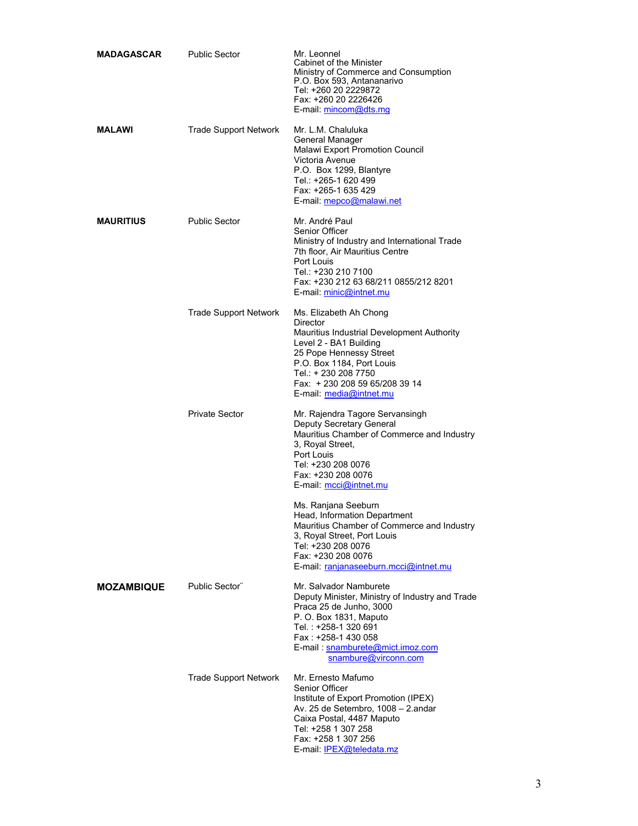| <b>MADAGASCAR</b> | <b>Public Sector</b>         | Mr. Leonnel<br>Cabinet of the Minister<br>Ministry of Commerce and Consumption<br>P.O. Box 593, Antananarivo<br>Tel: +260 20 2229872<br>Fax: +260 20 2226426<br>E-mail: mincom@dts.mg                                                                         |
|-------------------|------------------------------|---------------------------------------------------------------------------------------------------------------------------------------------------------------------------------------------------------------------------------------------------------------|
| <b>MALAWI</b>     | <b>Trade Support Network</b> | Mr. L.M. Chaluluka<br>General Manager<br>Malawi Export Promotion Council<br>Victoria Avenue<br>P.O. Box 1299, Blantyre<br>Tel.: +265-1 620 499<br>Fax: +265-1 635 429<br>E-mail: mepco@malawi.net                                                             |
| <b>MAURITIUS</b>  | <b>Public Sector</b>         | Mr. André Paul<br>Senior Officer<br>Ministry of Industry and International Trade<br>7th floor, Air Mauritius Centre<br>Port Louis<br>Tel.: +230 210 7100<br>Fax: +230 212 63 68/211 0855/212 8201<br>E-mail: minic@intnet.mu                                  |
|                   | <b>Trade Support Network</b> | Ms. Elizabeth Ah Chong<br><b>Director</b><br>Mauritius Industrial Development Authority<br>Level 2 - BA1 Building<br>25 Pope Hennessy Street<br>P.O. Box 1184, Port Louis<br>Tel.: + 230 208 7750<br>Fax: +230 208 59 65/208 39 14<br>E-mail: media@intnet.mu |
|                   | <b>Private Sector</b>        | Mr. Rajendra Tagore Servansingh<br>Deputy Secretary General<br>Mauritius Chamber of Commerce and Industry<br>3, Royal Street,<br>Port Louis<br>Tel: +230 208 0076<br>Fax: +230 208 0076<br>E-mail: mcci@intnet.mu                                             |
|                   |                              | Ms. Ranjana Seeburn<br>Head, Information Department<br>Mauritius Chamber of Commerce and Industry<br>3, Royal Street, Port Louis<br>Tel: +230 208 0076<br>Fax: +230 208 0076<br>E-mail: ranjanaseeburn.mcci@intnet.mu                                         |
| <b>MOZAMBIQUE</b> | Public Sector"               | Mr. Salvador Namburete<br>Deputy Minister, Ministry of Industry and Trade<br>Praca 25 de Junho, 3000<br>P. O. Box 1831, Maputo<br>Tel.: +258-1 320 691<br>Fax: +258-1 430 058<br>E-mail snamburete@mict.imoz.com<br>snambure@virconn.com                      |
|                   | <b>Trade Support Network</b> | Mr. Ernesto Mafumo<br>Senior Officer<br>Institute of Export Promotion (IPEX)<br>Av. 25 de Setembro, 1008 - 2.andar<br>Caixa Postal, 4487 Maputo<br>Tel: +258 1 307 258<br>Fax: +258 1 307 256<br>E-mail: IPEX@teledata.mz                                     |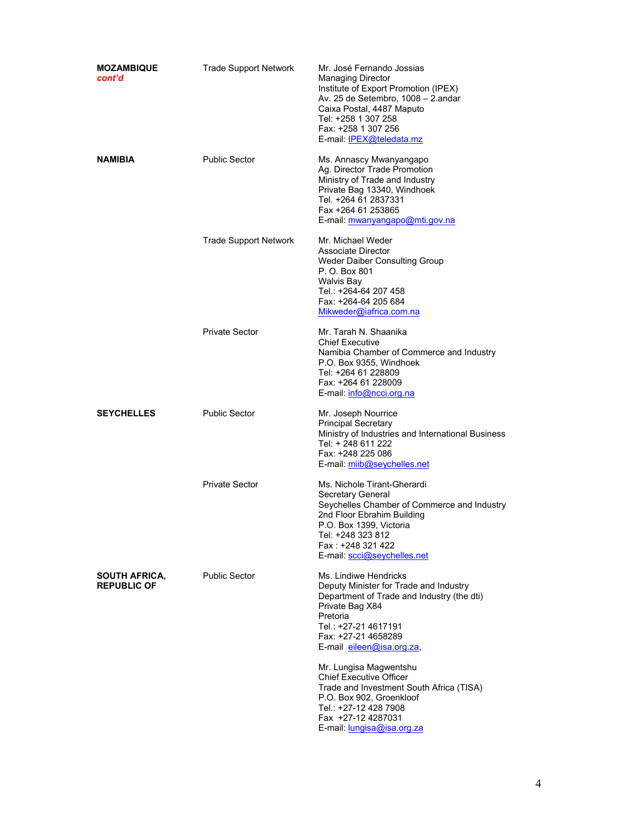| <b>MOZAMBIQUE</b><br>cont'd                | <b>Trade Support Network</b> | Mr. José Fernando Jossias<br><b>Managing Director</b><br>Institute of Export Promotion (IPEX)<br>Av. 25 de Setembro, 1008 - 2 andar<br>Caixa Postal, 4487 Maputo<br>Tel: +258 1 307 258<br>Fax: +258 1 307 256<br>E-mail: <b>IPEX@teledata.mz</b> |
|--------------------------------------------|------------------------------|---------------------------------------------------------------------------------------------------------------------------------------------------------------------------------------------------------------------------------------------------|
| NAMIBIA                                    | <b>Public Sector</b>         | Ms. Annascy Mwanyangapo<br>Ag. Director Trade Promotion<br>Ministry of Trade and Industry<br>Private Bag 13340, Windhoek<br>Tel. +264 61 2837331<br>Fax +264 61 253865<br>E-mail: mwanyangapo@mti.gov.na                                          |
|                                            | <b>Trade Support Network</b> | Mr. Michael Weder<br><b>Associate Director</b><br>Weder Daiber Consulting Group<br>P. O. Box 801<br><b>Walvis Bay</b><br>Tel.: +264-64 207 458<br>Fax: +264-64 205 684<br>Mikweder@iafrica.com.na                                                 |
|                                            | <b>Private Sector</b>        | Mr. Tarah N. Shaanika<br><b>Chief Executive</b><br>Namibia Chamber of Commerce and Industry<br>P.O. Box 9355, Windhoek<br>Tel: +264 61 228809<br>Fax: +264 61 228009<br>E-mail: info@ncci.org.na                                                  |
| <b>SEYCHELLES</b>                          | <b>Public Sector</b>         | Mr. Joseph Nourrice<br><b>Principal Secretary</b><br>Ministry of Industries and International Business<br>Tel: + 248 611 222<br>Fax: +248 225 086<br>E-mail: mijb@seychelles.net                                                                  |
|                                            | <b>Private Sector</b>        | Ms. Nichole Tirant-Gherardi<br>Secretary General<br>Seychelles Chamber of Commerce and Industry<br>2nd Floor Ebrahim Building<br>P.O. Box 1399, Victoria<br>Tel: +248 323 812<br>Fax: +248 321 422<br>E-mail: scci@seychelles.net                 |
| <b>SOUTH AFRICA,</b><br><b>REPUBLIC OF</b> | <b>Public Sector</b>         | Ms. Lindiwe Hendricks<br>Deputy Minister for Trade and Industry<br>Department of Trade and Industry (the dti)<br>Private Bag X84<br>Pretoria<br>Tel.: +27-21 4617191<br>Fax: +27-21 4658289<br>E-mail eileen@isa.org.za,                          |
|                                            |                              | Mr. Lungisa Magwentshu<br><b>Chief Executive Officer</b><br>Trade and Investment South Africa (TISA)<br>P.O. Box 902, Groenkloof<br>Tel.: +27-12 428 7908<br>Fax +27-12 4287031<br>E-mail: lungisa@isa.org.za                                     |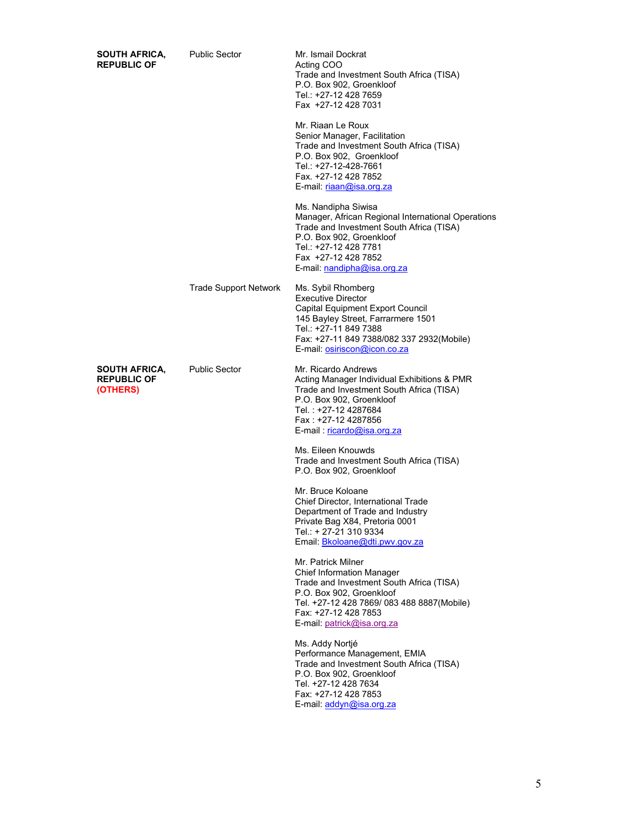| <b>SOUTH AFRICA,</b><br><b>REPUBLIC OF</b>      | <b>Public Sector</b>         | Mr. Ismail Dockrat<br>Acting COO<br>Trade and Investment South Africa (TISA)<br>P.O. Box 902, Groenkloof<br>Tel.: +27-12 428 7659<br>Fax +27-12 428 7031                                                                           |
|-------------------------------------------------|------------------------------|------------------------------------------------------------------------------------------------------------------------------------------------------------------------------------------------------------------------------------|
|                                                 |                              | Mr. Riaan Le Roux<br>Senior Manager, Facilitation<br>Trade and Investment South Africa (TISA)<br>P.O. Box 902, Groenkloof<br>Tel.: +27-12-428-7661<br>Fax. +27-12 428 7852<br>E-mail: riaan@isa.org.za                             |
|                                                 |                              | Ms. Nandipha Siwisa<br>Manager, African Regional International Operations<br>Trade and Investment South Africa (TISA)<br>P.O. Box 902, Groenkloof<br>Tel.: +27-12 428 7781<br>Fax +27-12 428 7852<br>E-mail: nandipha@isa.org.za   |
|                                                 | <b>Trade Support Network</b> | Ms. Sybil Rhomberg<br><b>Executive Director</b><br>Capital Equipment Export Council<br>145 Bayley Street, Farrarmere 1501<br>Tel.: +27-11 849 7388<br>Fax: +27-11 849 7388/082 337 2932(Mobile)<br>E-mail: osiriscon@icon.co.za    |
| SOUTH AFRICA,<br><b>REPUBLIC OF</b><br>(OTHERS) | <b>Public Sector</b>         | Mr. Ricardo Andrews<br>Acting Manager Individual Exhibitions & PMR<br>Trade and Investment South Africa (TISA)<br>P.O. Box 902, Groenkloof<br>Tel. : +27-12 4287684<br>Fax: +27-12 4287856<br>E-mail: ricardo@isa.org.za           |
|                                                 |                              | Ms. Eileen Knouwds<br>Trade and Investment South Africa (TISA)<br>P.O. Box 902, Groenkloof                                                                                                                                         |
|                                                 |                              | Mr. Bruce Koloane<br>Chief Director, International Trade<br>Department of Trade and Industry<br>Private Bag X84, Pretoria 0001<br>Tel.: + 27-21 310 9334<br>Email Bkoloane@dti.pwv.gov.za                                          |
|                                                 |                              | Mr. Patrick Milner<br><b>Chief Information Manager</b><br>Trade and Investment South Africa (TISA)<br>P.O. Box 902, Groenkloof<br>Tel. +27-12 428 7869/ 083 488 8887(Mobile)<br>Fax: +27-12 428 7853<br>E-mail: patrick@isa.org.za |
|                                                 |                              | Ms. Addy Nortjé<br>Performance Management, EMIA<br>Trade and Investment South Africa (TISA)<br>P.O. Box 902, Groenkloof<br>Tel. +27-12 428 7634<br>Fax: +27-12 428 7853<br>E-mail: addyn@isa.org.za                                |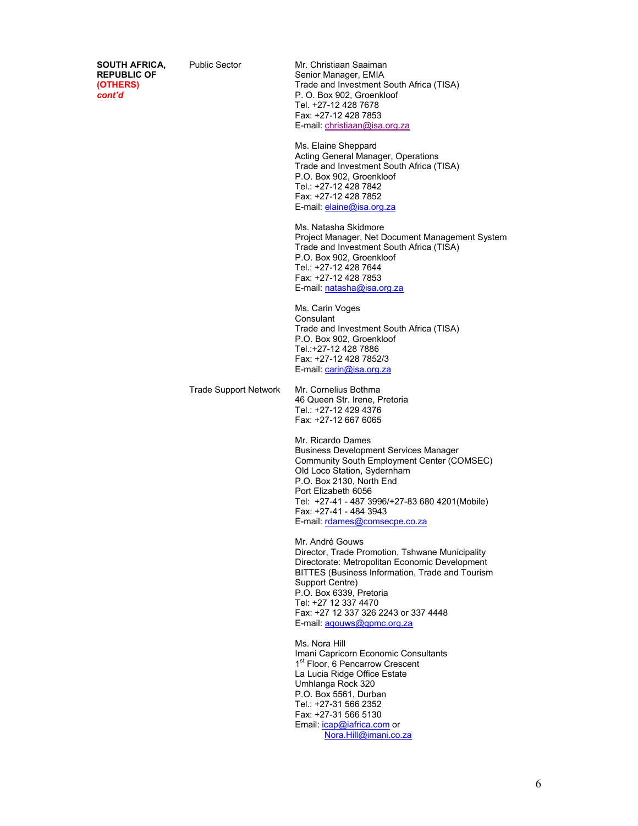**SOUTH AFRICA, REPUBLIC OF (OTHERS)**  *cont'd*

Public Sector

Mr. Christiaan Saaiman Senior Manager, EMIA Trade and Investment South Africa (TISA) P. O. Box 902, Groenkloof Tel. +27-12 428 7678 Fax: +27-12 428 7853 E-mail: christiaan@isa.org.za

Ms. Elaine Sheppard Acting General Manager, Operations Trade and Investment South Africa (TISA) P.O. Box 902, Groenkloof Tel.: +27-12 428 7842 Fax: +27-12 428 7852 E-mail: elaine@isa.org.za

Ms. Natasha Skidmore Project Manager, Net Document Management System Trade and Investment South Africa (TISA) P.O. Box 902, Groenkloof Tel.: +27-12 428 7644 Fax: +27-12 428 7853 E-mail: natasha@isa.org.za

Ms. Carin Voges **Consulant** Trade and Investment South Africa (TISA) P.O. Box 902, Groenkloof Tel.:+27-12 428 7886 Fax: +27-12 428 7852/3 E-mail: carin@isa.org.za

Trade Support Network Mr. Cornelius Bothma 46 Queen Str. Irene, Pretoria Tel.: +27-12 429 4376 Fax: +27-12 667 6065

> Mr. Ricardo Dames Business Development Services Manager Community South Employment Center (COMSEC) Old Loco Station, Sydernham P.O. Box 2130, North End Port Elizabeth 6056 Tel: +27-41 - 487 3996/+27-83 680 4201(Mobile) Fax: +27-41 - 484 3943 E-mail: rdames@comsecpe.co.za

> Mr. André Gouws Director, Trade Promotion, Tshwane Municipality Directorate: Metropolitan Economic Development BITTES (Business Information, Trade and Tourism Support Centre) P.O. Box 6339, Pretoria Tel: +27 12 337 4470 Fax: +27 12 337 326 2243 or 337 4448 E-mail: agouws@gpmc.org.za

Ms. Nora Hill Imani Capricorn Economic Consultants 1<sup>st</sup> Floor, 6 Pencarrow Crescent La Lucia Ridge Office Estate Umhlanga Rock 320 P.O. Box 5561, Durban Tel.: +27-31 566 2352 Fax: +27-31 566 5130 Email: *icap@iafrica.com* or Nora.Hill@imani.co.za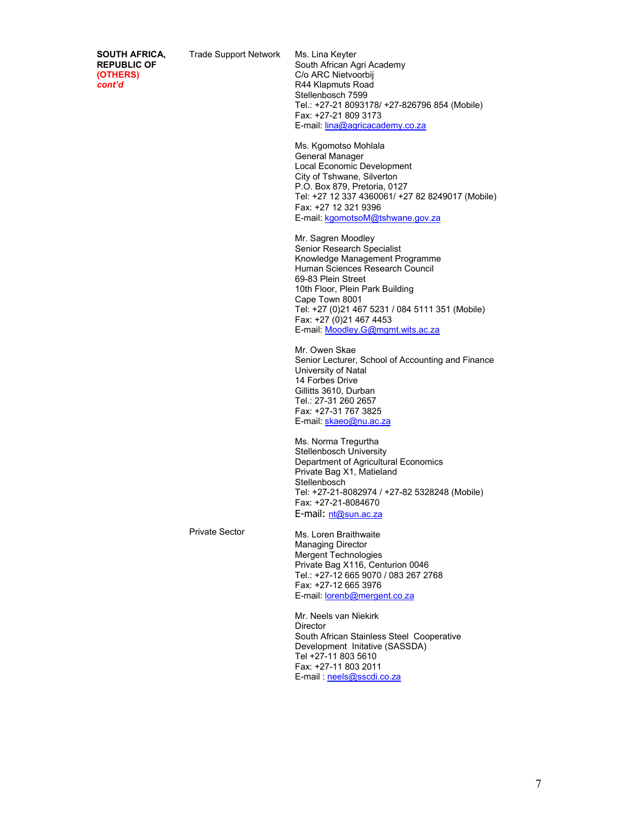Trade Support Network

**SOUTH AFRICA, REPUBLIC OF (OTHERS)** *cont'd*

Ms. Lina Keyter South African Agri Academy C/o ARC Nietvoorbij R44 Klapmuts Road Stellenbosch 7599 Tel.: +27-21 8093178/ +27-826796 854 (Mobile) Fax: +27-21 809 3173 E-mail: lina@agricacademy.co.za

Ms. Kgomotso Mohlala General Manager Local Economic Development City of Tshwane, Silverton P.O. Box 879, Pretoria, 0127 Tel: +27 12 337 4360061/ +27 82 8249017 (Mobile) Fax: +27 12 321 9396 E-mail: kgomotsoM@tshwane.gov.za

Mr. Sagren Moodley Senior Research Specialist Knowledge Management Programme Human Sciences Research Council 69-83 Plein Street 10th Floor, Plein Park Building Cape Town 8001 Tel: +27 (0)21 467 5231 / 084 5111 351 (Mobile) Fax: +27 (0)21 467 4453 E-mail: Moodley.G@mgmt.wits.ac.za

Mr. Owen Skae Senior Lecturer, School of Accounting and Finance University of Natal 14 Forbes Drive Gillitts 3610, Durban Tel.: 27-31 260 2657 Fax: +27-31 767 3825 E-mail: skaeo@nu.ac.za

Ms. Norma Tregurtha Stellenbosch University Department of Agricultural Economics Private Bag X1, Matieland **Stellenbosch** Tel: +27-21-8082974 / +27-82 5328248 (Mobile) Fax: +27-21-8084670 E-mail: nt@sun.ac.za

Private Sector

Ms. Loren Braithwaite Managing Director Mergent Technologies Private Bag X116, Centurion 0046 Tel.: +27-12 665 9070 / 083 267 2768 Fax: +27-12 665 3976 E-mail: lorenb@mergent.co.za

Mr. Neels van Niekirk **Director** South African Stainless Steel Cooperative Development Initative (SASSDA) Tel +27-11 803 5610 Fax: +27-11 803 2011 E-mail : neels@sscdi.co.za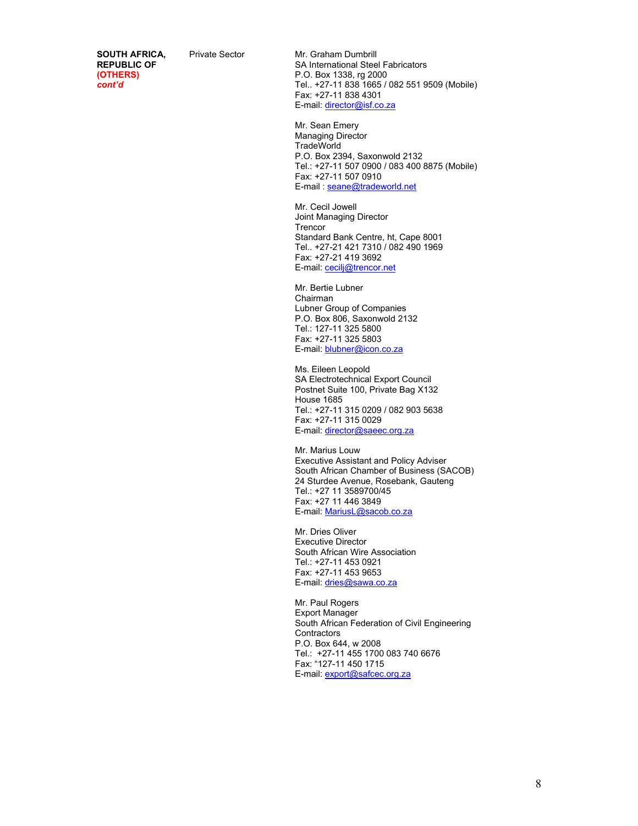**SOUTH AFRICA, REPUBLIC OF (OTHERS)** *cont'd*

Private Sector Mr. Graham Dumbrill SA International Steel Fabricators P.O. Box 1338, rg 2000 Tel.. +27-11 838 1665 / 082 551 9509 (Mobile) Fax: +27-11 838 4301 E-mail: director@isf.co.za

> Mr. Sean Emery Managing Director **TradeWorld** P.O. Box 2394, Saxonwold 2132 Tel.: +27-11 507 0900 / 083 400 8875 (Mobile) Fax: +27-11 507 0910 E-mail : seane@tradeworld.net

Mr. Cecil Jowell Joint Managing Director **Trencor** Standard Bank Centre, ht, Cape 8001 Tel.. +27-21 421 7310 / 082 490 1969 Fax: +27-21 419 3692 E-mail: cecilj@trencor.net

Mr. Bertie Lubner Chairman Lubner Group of Companies P.O. Box 806, Saxonwold 2132 Tel.: 127-11 325 5800 Fax: +27-11 325 5803 E-mail: blubner@icon.co.za

 Ms. Eileen Leopold SA Electrotechnical Export Council Postnet Suite 100, Private Bag X132 House 1685 Tel.: +27-11 315 0209 / 082 903 5638 Fax: +27-11 315 0029 E-mail: director@saeec.org.za

Mr. Marius Louw Executive Assistant and Policy Adviser South African Chamber of Business (SACOB) 24 Sturdee Avenue, Rosebank, Gauteng Tel.: +27 11 3589700/45 Fax: +27 11 446 3849 E-mail: **MariusL@sacob.co.za** 

Mr. Dries Oliver Executive Director South African Wire Association Tel.: +27-11 453 0921 Fax: +27-11 453 9653 E-mail: dries@sawa.co.za

Mr. Paul Rogers Export Manager South African Federation of Civil Engineering **Contractors** P.O. Box 644, w 2008 Tel.: +27-11 455 1700 083 740 6676 Fax: "127-11 450 1715 E-mail: export@safcec.org.za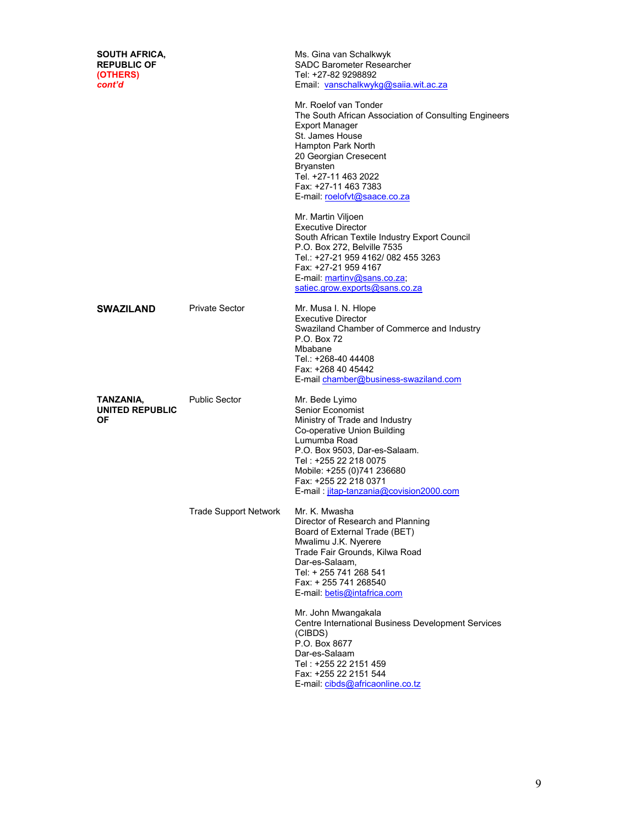| <b>SOUTH AFRICA,</b><br><b>REPUBLIC OF</b><br>(OTHERS)<br>cont'd |                              | Ms. Gina van Schalkwyk<br>SADC Barometer Researcher<br>Tel: +27-82 9298892<br>Email vanschalkwykg@saiia.wit.ac.za<br>Mr. Roelof van Tonder<br>The South African Association of Consulting Engineers<br><b>Export Manager</b><br>St. James House<br>Hampton Park North<br>20 Georgian Cresecent<br><b>Bryansten</b><br>Tel. +27-11 463 2022<br>Fax: +27-11 463 7383<br>E-mail: roelofvt@saace.co.za<br>Mr. Martin Viljoen<br><b>Executive Director</b><br>South African Textile Industry Export Council<br>P.O. Box 272, Belville 7535<br>Tel.: +27-21 959 4162/ 082 455 3263<br>Fax: +27-21 959 4167<br>E-mail: martinv@sans.co.za,<br>satiec.grow.exports@sans.co.za |
|------------------------------------------------------------------|------------------------------|-----------------------------------------------------------------------------------------------------------------------------------------------------------------------------------------------------------------------------------------------------------------------------------------------------------------------------------------------------------------------------------------------------------------------------------------------------------------------------------------------------------------------------------------------------------------------------------------------------------------------------------------------------------------------|
| <b>SWAZILAND</b>                                                 | <b>Private Sector</b>        | Mr. Musa I. N. Hlope<br><b>Executive Director</b><br>Swaziland Chamber of Commerce and Industry<br>P.O. Box 72<br>Mbabane<br>Tel.: +268-40 44408<br>Fax: +268 40 45442<br>E-mail chamber@business-swaziland.com                                                                                                                                                                                                                                                                                                                                                                                                                                                       |
| TANZANIA,<br>UNITED REPUBLIC<br>ΟF                               | <b>Public Sector</b>         | Mr. Bede Lyimo<br>Senior Economist<br>Ministry of Trade and Industry<br>Co-operative Union Building<br>Lumumba Road<br>P.O. Box 9503, Dar-es-Salaam.<br>Tel : +255 22 218 0075<br>Mobile: +255 (0)741 236680<br>Fax: +255 22 218 0371<br>E-mail: jitap-tanzania@covision2000.com                                                                                                                                                                                                                                                                                                                                                                                      |
|                                                                  | <b>Trade Support Network</b> | Mr. K. Mwasha<br>Director of Research and Planning<br>Board of External Trade (BET)<br>Mwalimu J.K. Nyerere<br>Trade Fair Grounds, Kilwa Road<br>Dar-es-Salaam,<br>Tel: + 255 741 268 541<br>Fax: + 255 741 268540<br>E-mail: betis@intafrica.com<br>Mr. John Mwangakala<br>Centre International Business Development Services<br>(CIBDS)<br>P.O. Box 8677<br>Dar-es-Salaam<br>Tel: +255 22 2151 459<br>Fax: +255 22 2151 544<br>E-mail: cibds@africaonline.co.tz                                                                                                                                                                                                     |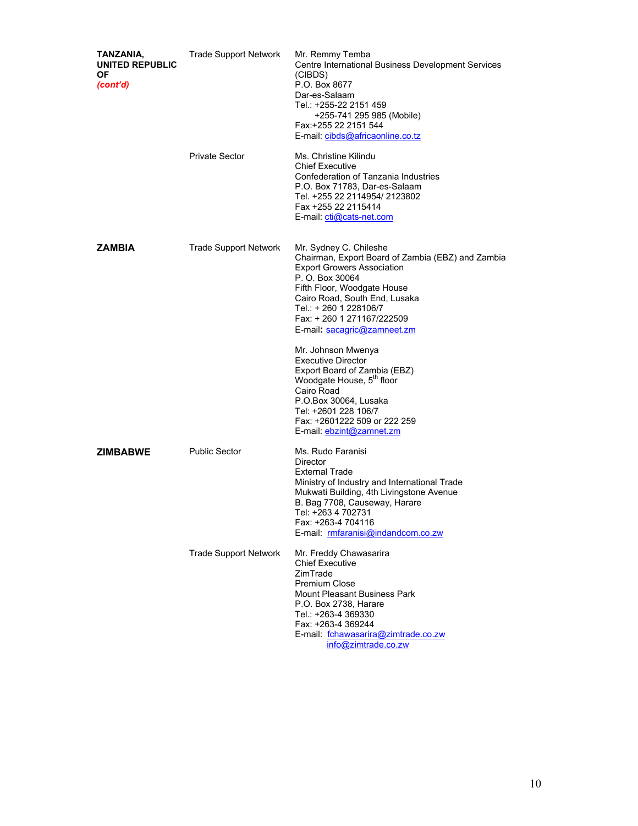| TANZANIA,<br>UNITED REPUBLIC<br>OF.<br>(cont'd) | <b>Trade Support Network</b> | Mr. Remmy Temba<br>Centre International Business Development Services<br>(CIBDS)<br>P.O. Box 8677<br>Dar-es-Salaam<br>Tel.: +255-22 2151 459<br>+255-741 295 985 (Mobile)<br>Fax:+255 22 2151 544<br>E-mail: cibds@africaonline.co.tz                                                     |
|-------------------------------------------------|------------------------------|-------------------------------------------------------------------------------------------------------------------------------------------------------------------------------------------------------------------------------------------------------------------------------------------|
|                                                 | <b>Private Sector</b>        | Ms. Christine Kilindu<br><b>Chief Executive</b><br>Confederation of Tanzania Industries<br>P.O. Box 71783, Dar-es-Salaam<br>Tel. +255 22 2114954/ 2123802<br>Fax +255 22 2115414<br>E-mail: cti@cats-net.com                                                                              |
| ZAMBIA                                          | <b>Trade Support Network</b> | Mr. Sydney C. Chileshe<br>Chairman, Export Board of Zambia (EBZ) and Zambia<br><b>Export Growers Association</b><br>P. O. Box 30064<br>Fifth Floor, Woodgate House<br>Cairo Road, South End, Lusaka<br>Tel.: + 260 1 228106/7<br>Fax: +260 1 271167/222509<br>E-mail: sacagric@zamneet.zm |
|                                                 |                              | Mr. Johnson Mwenya<br><b>Executive Director</b><br>Export Board of Zambia (EBZ)<br>Woodgate House, 5 <sup>th</sup> floor<br>Cairo Road<br>P.O.Box 30064, Lusaka<br>Tel: +2601 228 106/7<br>Fax: +2601222 509 or 222 259<br>E-mail: ebzint@zamnet.zm                                       |
| <b>ZIMBABWE</b>                                 | <b>Public Sector</b>         | Ms. Rudo Faranisi<br><b>Director</b><br><b>External Trade</b><br>Ministry of Industry and International Trade<br>Mukwati Building, 4th Livingstone Avenue<br>B. Bag 7708, Causeway, Harare<br>Tel: +263 4 702731<br>Fax: +263-4 704116<br>E-mail rmfaranisi@indandcom.co.zw               |
|                                                 | <b>Trade Support Network</b> | Mr. Freddy Chawasarira<br><b>Chief Executive</b><br>ZimTrade<br><b>Premium Close</b><br>Mount Pleasant Business Park<br>P.O. Box 2738, Harare<br>Tel.: +263-4 369330<br>Fax: +263-4 369244<br>E-mail: fchawasarira@zimtrade.co.zw<br>info@zimtrade.co.zw                                  |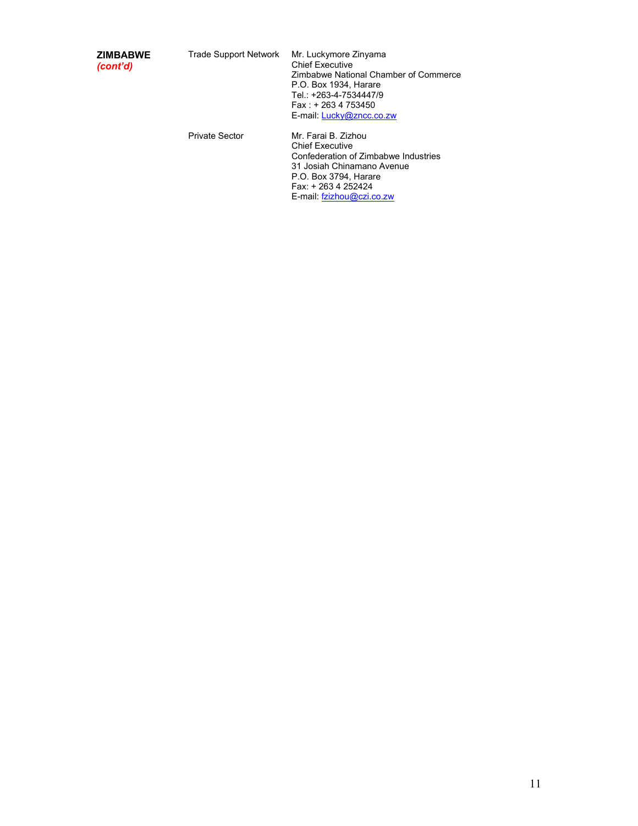Trade Support Network Mr. Luckymore Zinyama Chief Executive Zimbabwe National Chamber of Commerce P.O. Box 1934, Harare Tel.: +263-4-7534447/9 Fax : + 263 4 753450 E-mail: Lucky@zncc.co.zw

Private Sector

Mr. Farai B. Zizhou Chief Executive Confederation of Zimbabwe Industries 31 Josiah Chinamano Avenue P.O. Box 3794, Harare Fax: + 263 4 252424 E-mail: fzizhou@czi.co.zw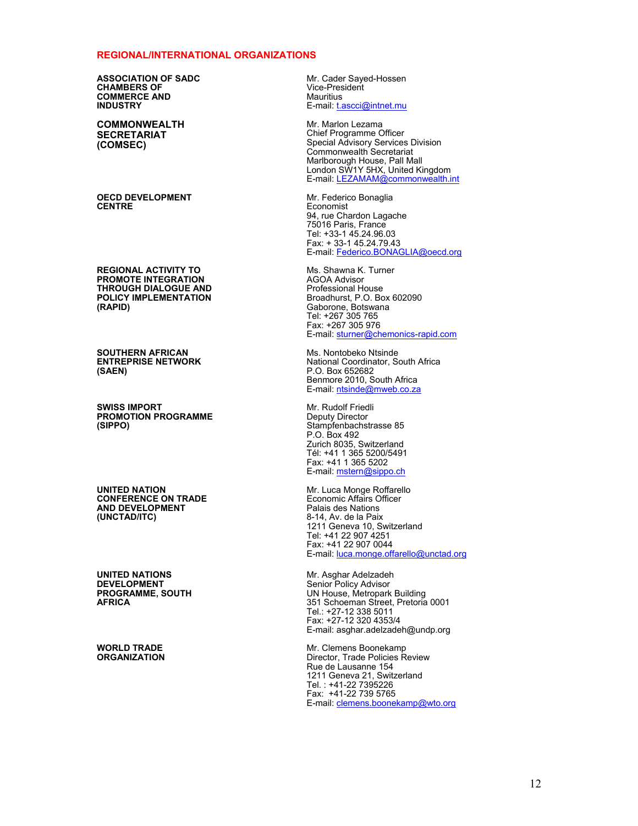#### **REGIONAL/INTERNATIONAL ORGANIZATIONS**

**ASSOCIATION OF SADC CHAMBERS OF COMMERCE AND INDUSTRY** 

**COMMONWEALTH SECRETARIAT (COMSEC)** 

**OECD DEVELOPMENT CENTRE** 

**REGIONAL ACTIVITY TO PROMOTE INTEGRATION THROUGH DIALOGUE AND POLICY IMPLEMENTATION (RAPID)** 

**SOUTHERN AFRICAN ENTREPRISE NETWORK (SAEN)** 

**SWISS IMPORT PROMOTION PROGRAMME (SIPPO)** 

**UNITED NATION CONFERENCE ON TRADE AND DEVELOPMENT (UNCTAD/ITC)**

**UNITED NATIONS DEVELOPMENT PROGRAMME, SOUTH AFRICA** 

**WORLD TRADE ORGANIZATION** 

 Mr. Cader Sayed-Hossen Vice-President **Mauritius** E-mail: t.ascci@intnet.mu

 Mr. Marlon Lezama Chief Programme Officer Special Advisory Services Division Commonwealth Secretariat Marlborough House, Pall Mall London SW1Y 5HX, United Kingdom E-mail: LEZAMAM@commonwealth.int

 Mr. Federico Bonaglia Economist 94, rue Chardon Lagache 75016 Paris, France Tel: +33-1 45.24.96.03 Fax: + 33-1 45.24.79.43 E-mail: Federico.BONAGLIA@oecd.org

 Ms. Shawna K. Turner AGOA Advisor Professional House Broadhurst, P.O. Box 602090 Gaborone, Botswana Tel: +267 305 765 Fax: +267 305 976 E-mail: sturner@chemonics-rapid.com

 Ms. Nontobeko Ntsinde National Coordinator, South Africa P.O. Box 652682 Benmore 2010, South Africa E-mail: ntsinde@mweb.co.za

 Mr. Rudolf Friedli Deputy Director Stampfenbachstrasse 85 P.O. Box 492 Zurich 8035, Switzerland Tél: +41 1 365 5200/5491 Fax: +41 1 365 5202 E-mail: mstern@sippo.ch

 Mr. Luca Monge Roffarello Economic Affairs Officer Palais des Nations 8-14, Av. de la Paix 1211 Geneva 10, Switzerland Tel: +41 22 907 4251 Fax: +41 22 907 0044 E-mail: luca.monge.offarello@unctad.org

 Mr. Asghar Adelzadeh Senior Policy Advisor UN House, Metropark Building 351 Schoeman Street, Pretoria 0001 Tel.: +27-12 338 5011 Fax: +27-12 320 4353/4 E-mail: asghar.adelzadeh@undp.org

 Mr. Clemens Boonekamp Director, Trade Policies Review Rue de Lausanne 154 1211 Geneva 21, Switzerland Tel. : +41-22 7395226 Fax: +41-22 739 5765 E-mail: clemens.boonekamp@wto.org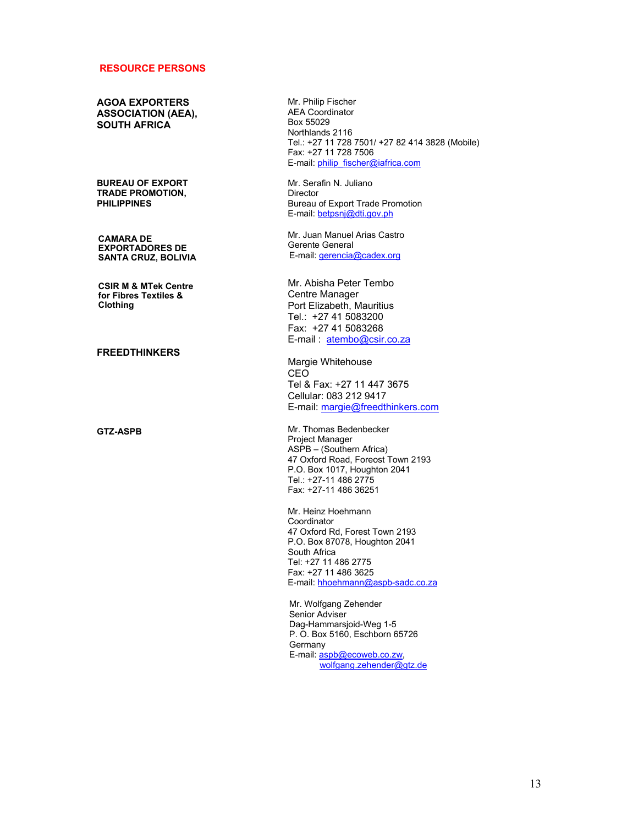### **RESOURCE PERSONS**

**AGOA EXPORTERS ASSOCIATION (AEA), SOUTH AFRICA**

**BUREAU OF EXPORT TRADE PROMOTION, PHILIPPINES** 

**CAMARA DE EXPORTADORES DE SANTA CRUZ, BOLIVIA** 

**CSIR M & MTek Centre for Fibres Textiles & Clothing** 

#### **FREEDTHINKERS**

**GTZ-ASPB** 

 Mr. Philip Fischer AEA Coordinator Box 55029 Northlands 2116 Tel.: +27 11 728 7501/ +27 82 414 3828 (Mobile) Fax: +27 11 728 7506 E-mail: philip\_fischer@iafrica.com

Mr. Serafin N. Juliano **Director** Bureau of Export Trade Promotion E-mail: betpsnj@dti.gov.ph

Mr. Juan Manuel Arias Castro Gerente General E-mail: gerencia@cadex.org

 Mr. Abisha Peter Tembo Centre Manager Port Elizabeth, Mauritius Tel.: +27 41 5083200 Fax: +27 41 5083268 E-mail: atembo@csir.co.za

Margie Whitehouse CEO Tel & Fax: +27 11 447 3675 Cellular: 083 212 9417 E-mail: margie@freedthinkers.com

Mr. Thomas Bedenbecker Project Manager ASPB – (Southern Africa) 47 Oxford Road, Foreost Town 2193 P.O. Box 1017, Houghton 2041 Tel.: +27-11 486 2775 Fax: +27-11 486 36251

Mr. Heinz Hoehmann Coordinator 47 Oxford Rd, Forest Town 2193 P.O. Box 87078, Houghton 2041 South Africa Tel: +27 11 486 2775 Fax: +27 11 486 3625 E-mail: hhoehmann@aspb-sadc.co.za

Mr. Wolfgang Zehender Senior Adviser Dag-Hammarsjoid-Weg 1-5 P. O. Box 5160, Eschborn 65726 **Germany** E-mail: aspb@ecoweb.co.zw, wolfgang.zehender@gtz.de